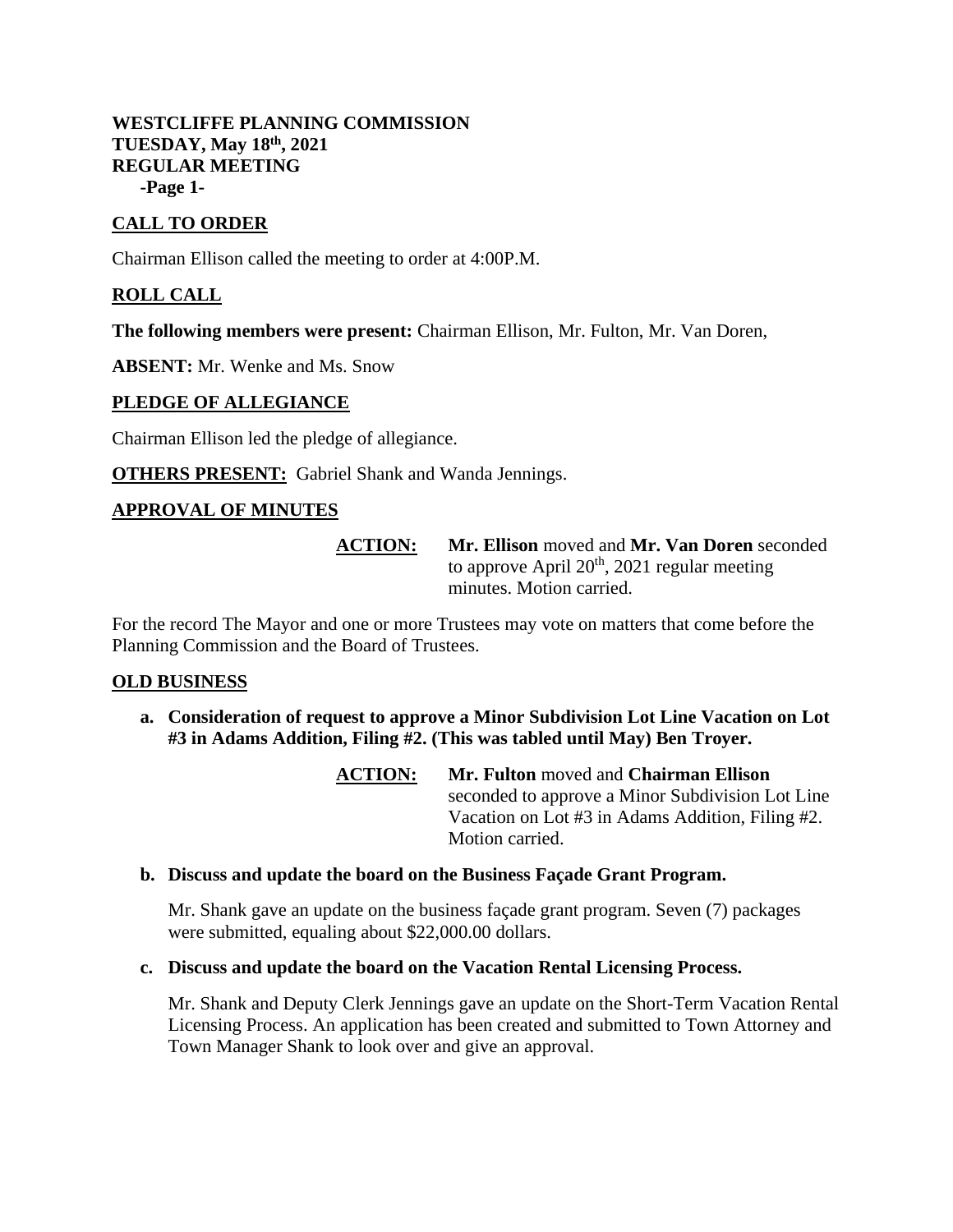### **WESTCLIFFE PLANNING COMMISSION TUESDAY, May 18th, 2021 REGULAR MEETING -Page 1-**

# **CALL TO ORDER**

Chairman Ellison called the meeting to order at 4:00P.M.

# **ROLL CALL**

**The following members were present:** Chairman Ellison, Mr. Fulton, Mr. Van Doren,

**ABSENT:** Mr. Wenke and Ms. Snow

### **PLEDGE OF ALLEGIANCE**

Chairman Ellison led the pledge of allegiance.

**OTHERS PRESENT:** Gabriel Shank and Wanda Jennings.

### **APPROVAL OF MINUTES**

**ACTION: Mr. Ellison** moved and **Mr. Van Doren** seconded to approve April  $20<sup>th</sup>$ , 2021 regular meeting minutes. Motion carried.

For the record The Mayor and one or more Trustees may vote on matters that come before the Planning Commission and the Board of Trustees.

#### **OLD BUSINESS**

- **a. Consideration of request to approve a Minor Subdivision Lot Line Vacation on Lot #3 in Adams Addition, Filing #2. (This was tabled until May) Ben Troyer.**
	- **ACTION: Mr. Fulton** moved and **Chairman Ellison** seconded to approve a Minor Subdivision Lot Line Vacation on Lot #3 in Adams Addition, Filing #2. Motion carried.

### **b. Discuss and update the board on the Business Façade Grant Program.**

Mr. Shank gave an update on the business façade grant program. Seven (7) packages were submitted, equaling about \$22,000.00 dollars.

#### **c. Discuss and update the board on the Vacation Rental Licensing Process.**

Mr. Shank and Deputy Clerk Jennings gave an update on the Short-Term Vacation Rental Licensing Process. An application has been created and submitted to Town Attorney and Town Manager Shank to look over and give an approval.